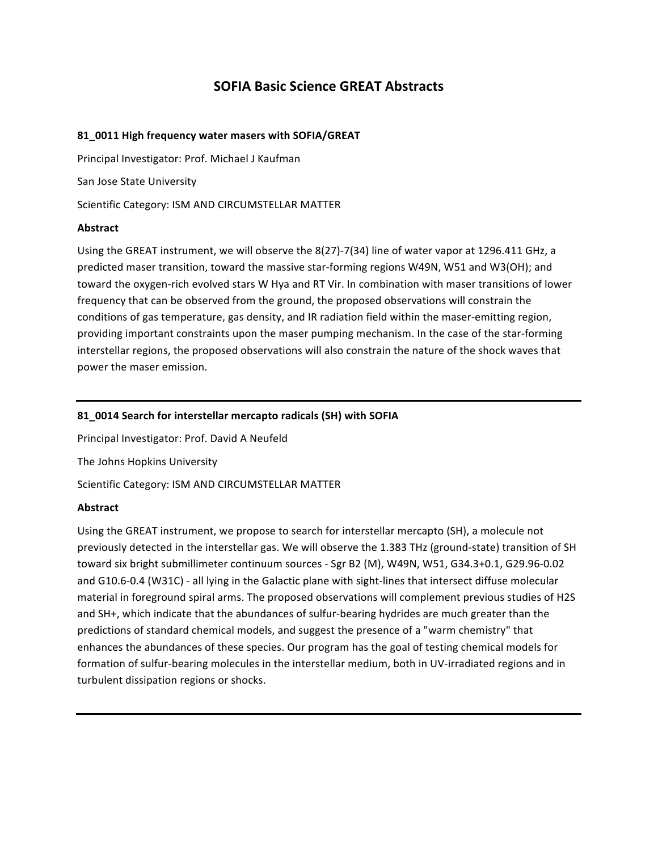# **SOFIA Basic Science GREAT Abstracts**

# 81\_0011 High frequency water masers with SOFIA/GREAT

Principal Investigator: Prof. Michael J Kaufman

San Jose State University

Scientific Category: ISM AND CIRCUMSTELLAR MATTER

#### **Abstract**

Using the GREAT instrument, we will observe the 8(27)-7(34) line of water vapor at 1296.411 GHz, a predicted maser transition, toward the massive star-forming regions W49N, W51 and W3(OH); and toward the oxygen-rich evolved stars W Hya and RT Vir. In combination with maser transitions of lower frequency that can be observed from the ground, the proposed observations will constrain the conditions of gas temperature, gas density, and IR radiation field within the maser-emitting region, providing important constraints upon the maser pumping mechanism. In the case of the star-forming interstellar regions, the proposed observations will also constrain the nature of the shock waves that power the maser emission.

# 81\_0014 Search for interstellar mercapto radicals (SH) with SOFIA

Principal Investigator: Prof. David A Neufeld

The Johns Hopkins University

Scientific Category: ISM AND CIRCUMSTELLAR MATTER

#### **Abstract**

Using the GREAT instrument, we propose to search for interstellar mercapto (SH), a molecule not previously detected in the interstellar gas. We will observe the 1.383 THz (ground-state) transition of SH toward six bright submillimeter continuum sources - Sgr B2 (M), W49N, W51, G34.3+0.1, G29.96-0.02 and G10.6-0.4 (W31C) - all lying in the Galactic plane with sight-lines that intersect diffuse molecular material in foreground spiral arms. The proposed observations will complement previous studies of H2S and SH+, which indicate that the abundances of sulfur-bearing hydrides are much greater than the predictions of standard chemical models, and suggest the presence of a "warm chemistry" that enhances the abundances of these species. Our program has the goal of testing chemical models for formation of sulfur-bearing molecules in the interstellar medium, both in UV-irradiated regions and in turbulent dissipation regions or shocks.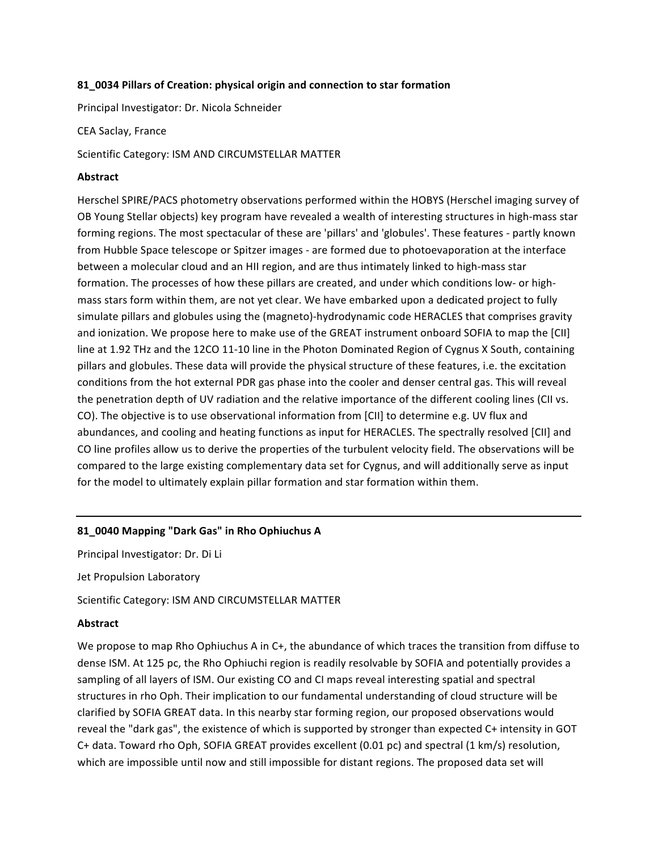#### **81\_0034&Pillars&of&Creation:&physical&origin&and&connection&to&star formation**

Principal Investigator: Dr. Nicola Schneider

CEA Saclay, France

Scientific Category: ISM AND CIRCUMSTELLAR MATTER

#### **Abstract**

Herschel SPIRE/PACS photometry observations performed within the HOBYS (Herschel imaging survey of OB Young Stellar objects) key program have revealed a wealth of interesting structures in high-mass star forming regions. The most spectacular of these are 'pillars' and 'globules'. These features - partly known from Hubble Space telescope or Spitzer images - are formed due to photoevaporation at the interface between a molecular cloud and an HII region, and are thus intimately linked to high-mass star formation. The processes of how these pillars are created, and under which conditions low- or highmass stars form within them, are not yet clear. We have embarked upon a dedicated project to fully simulate pillars and globules using the (magneto)-hydrodynamic code HERACLES that comprises gravity and ionization. We propose here to make use of the GREAT instrument onboard SOFIA to map the [CII] line at 1.92 THz and the 12CO 11-10 line in the Photon Dominated Region of Cygnus X South, containing pillars and globules. These data will provide the physical structure of these features, i.e. the excitation conditions from the hot external PDR gas phase into the cooler and denser central gas. This will reveal the penetration depth of UV radiation and the relative importance of the different cooling lines (CII vs. CO). The objective is to use observational information from [CII] to determine e.g. UV flux and abundances, and cooling and heating functions as input for HERACLES. The spectrally resolved [CII] and CO line profiles allow us to derive the properties of the turbulent velocity field. The observations will be compared to the large existing complementary data set for Cygnus, and will additionally serve as input for the model to ultimately explain pillar formation and star formation within them.

# 81\_0040 Mapping "Dark Gas" in Rho Ophiuchus A

Principal Investigator: Dr. Di Li

Jet Propulsion Laboratory

Scientific Category: ISM AND CIRCUMSTELLAR MATTER

# **Abstract**

We propose to map Rho Ophiuchus A in C+, the abundance of which traces the transition from diffuse to dense ISM. At 125 pc, the Rho Ophiuchi region is readily resolvable by SOFIA and potentially provides a sampling of all layers of ISM. Our existing CO and CI maps reveal interesting spatial and spectral structures in rho Oph. Their implication to our fundamental understanding of cloud structure will be clarified by SOFIA GREAT data. In this nearby star forming region, our proposed observations would reveal the "dark gas", the existence of which is supported by stronger than expected C+ intensity in GOT C+ data. Toward rho Oph, SOFIA GREAT provides excellent (0.01 pc) and spectral (1 km/s) resolution, which are impossible until now and still impossible for distant regions. The proposed data set will